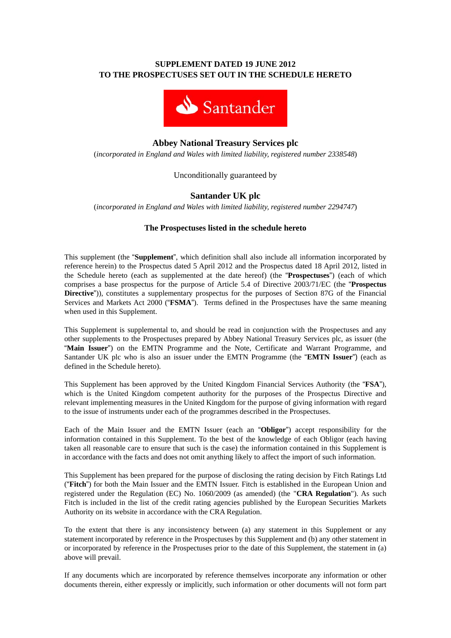# **SUPPLEMENT DATED 19 JUNE 2012 TO THE PROSPECTUSES SET OUT IN THE SCHEDULE HERETO**



# **Abbey National Treasury Services plc**

(*incorporated in England and Wales with limited liability, registered number 2338548*)

# Unconditionally guaranteed by

# **Santander UK plc**

(*incorporated in England and Wales with limited liability, registered number 2294747*)

# **The Prospectuses listed in the schedule hereto**

This supplement (the "**Supplement**", which definition shall also include all information incorporated by reference herein) to the Prospectus dated 5 April 2012 and the Prospectus dated 18 April 2012, listed in the Schedule hereto (each as supplemented at the date hereof) (the "**Prospectuses**") (each of which comprises a base prospectus for the purpose of Article 5.4 of Directive 2003/71/EC (the "**Prospectus Directive**")), constitutes a supplementary prospectus for the purposes of Section 87G of the Financial Services and Markets Act 2000 ("**FSMA**"). Terms defined in the Prospectuses have the same meaning when used in this Supplement.

This Supplement is supplemental to, and should be read in conjunction with the Prospectuses and any other supplements to the Prospectuses prepared by Abbey National Treasury Services plc, as issuer (the "**Main Issuer**") on the EMTN Programme and the Note, Certificate and Warrant Programme, and Santander UK plc who is also an issuer under the EMTN Programme (the "**EMTN Issuer**") (each as defined in the Schedule hereto).

This Supplement has been approved by the United Kingdom Financial Services Authority (the "**FSA**"), which is the United Kingdom competent authority for the purposes of the Prospectus Directive and relevant implementing measures in the United Kingdom for the purpose of giving information with regard to the issue of instruments under each of the programmes described in the Prospectuses.

Each of the Main Issuer and the EMTN Issuer (each an "**Obligor**") accept responsibility for the information contained in this Supplement. To the best of the knowledge of each Obligor (each having taken all reasonable care to ensure that such is the case) the information contained in this Supplement is in accordance with the facts and does not omit anything likely to affect the import of such information.

This Supplement has been prepared for the purpose of disclosing the rating decision by Fitch Ratings Ltd ("**Fitch**") for both the Main Issuer and the EMTN Issuer. Fitch is established in the European Union and registered under the Regulation (EC) No. 1060/2009 (as amended) (the "**CRA Regulation**"). As such Fitch is included in the list of the credit rating agencies published by the European Securities Markets Authority on its website in accordance with the CRA Regulation.

To the extent that there is any inconsistency between (a) any statement in this Supplement or any statement incorporated by reference in the Prospectuses by this Supplement and (b) any other statement in or incorporated by reference in the Prospectuses prior to the date of this Supplement, the statement in (a) above will prevail.

If any documents which are incorporated by reference themselves incorporate any information or other documents therein, either expressly or implicitly, such information or other documents will not form part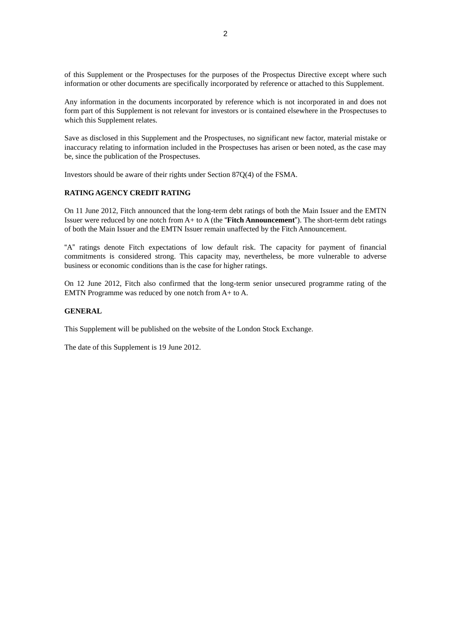of this Supplement or the Prospectuses for the purposes of the Prospectus Directive except where such information or other documents are specifically incorporated by reference or attached to this Supplement.

Any information in the documents incorporated by reference which is not incorporated in and does not form part of this Supplement is not relevant for investors or is contained elsewhere in the Prospectuses to which this Supplement relates.

Save as disclosed in this Supplement and the Prospectuses, no significant new factor, material mistake or inaccuracy relating to information included in the Prospectuses has arisen or been noted, as the case may be, since the publication of the Prospectuses.

Investors should be aware of their rights under Section 87Q(4) of the FSMA.

#### **RATING AGENCY CREDIT RATING**

On 11 June 2012, Fitch announced that the long-term debt ratings of both the Main Issuer and the EMTN Issuer were reduced by one notch from A+ to A (the "**Fitch Announcement**"). The short-term debt ratings of both the Main Issuer and the EMTN Issuer remain unaffected by the Fitch Announcement.

"A" ratings denote Fitch expectations of low default risk. The capacity for payment of financial commitments is considered strong. This capacity may, nevertheless, be more vulnerable to adverse business or economic conditions than is the case for higher ratings.

On 12 June 2012, Fitch also confirmed that the long-term senior unsecured programme rating of the EMTN Programme was reduced by one notch from A+ to A.

## **GENERAL**

This Supplement will be published on the website of the London Stock Exchange.

The date of this Supplement is 19 June 2012.